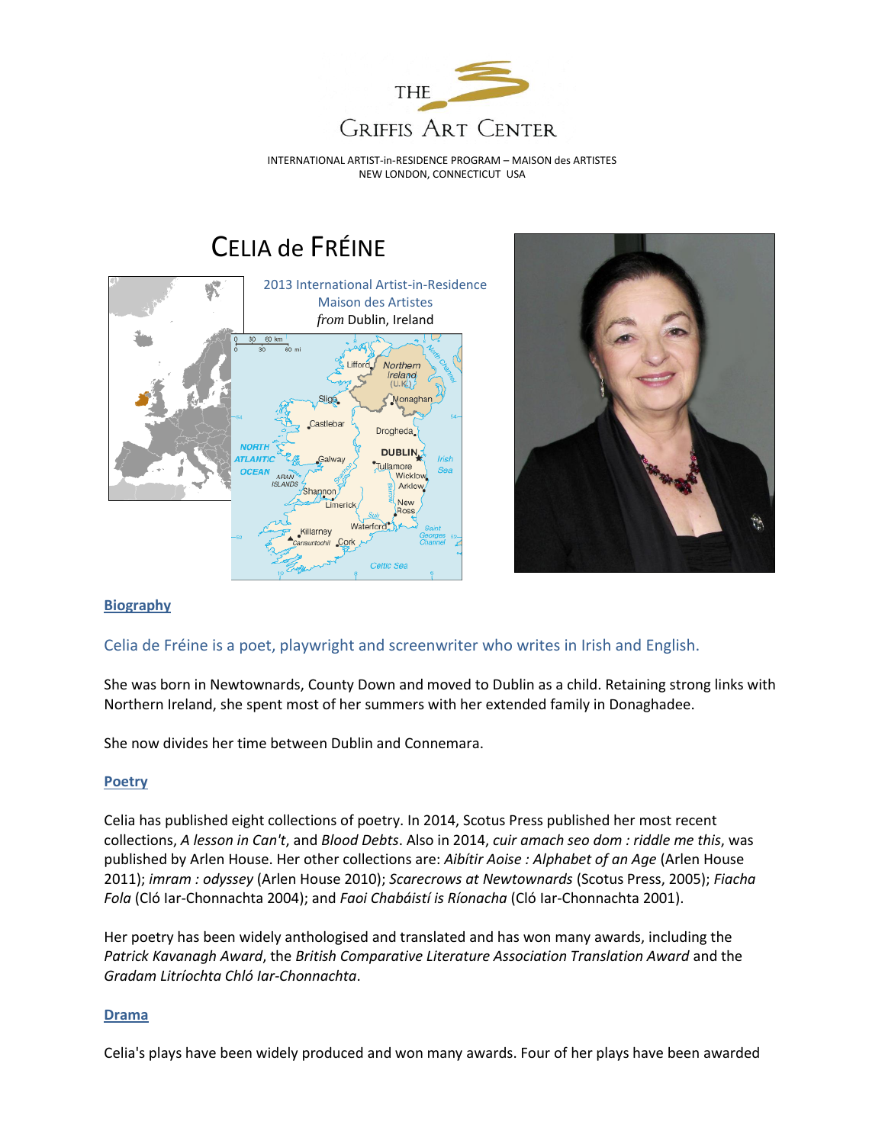

INTERNATIONAL ARTIST-in-RESIDENCE PROGRAM – MAISON des ARTISTES NEW LONDON, CONNECTICUT USA

# CELIA de FRÉINE





# **Biography**

# Celia de Fréine is a poet, playwright and screenwriter who writes in Irish and English.

She was born in Newtownards, County Down and moved to Dublin as a child. Retaining strong links with Northern Ireland, she spent most of her summers with her extended family in Donaghadee.

She now divides her time between Dublin and Connemara.

# **[Poetry](http://www.celiadefreine.com/poetry.htm)**

Celia has published eight collections of poetry. In 2014, Scotus Press published her most recent collections, *A lesson in Can't*, and *Blood Debts*. Also in 2014, *cuir amach seo dom : riddle me this*, was published by Arlen House. Her other collections are: *Aibítir Aoise : Alphabet of an Age* (Arlen House 2011); *imram : odyssey* (Arlen House 2010); *Scarecrows at Newtownards* (Scotus Press, 2005); *Fiacha Fola* (Cló Iar-Chonnachta 2004); and *Faoi Chabáistí is Ríonacha* (Cló Iar-Chonnachta 2001).

Her poetry has been widely anthologised and translated and has won many awards, including the *Patrick Kavanagh Award*, the *British Comparative Literature Association Translation Award* and the *Gradam Litríochta Chló Iar-Chonnachta*.

#### **[Drama](http://www.celiadefreine.com/drama.htm)**

Celia's plays have been widely produced and won many awards. Four of her plays have been awarded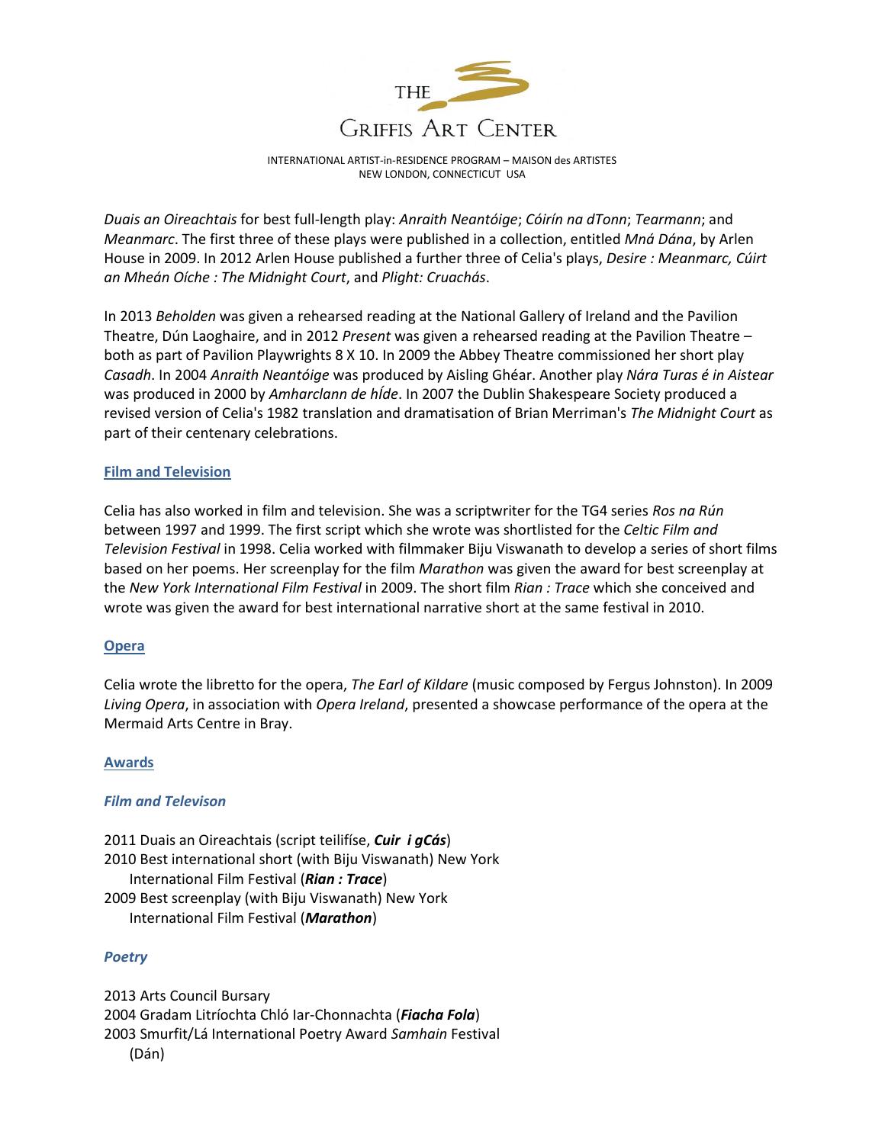

INTERNATIONAL ARTIST-in-RESIDENCE PROGRAM – MAISON des ARTISTES NEW LONDON, CONNECTICUT USA

*Duais an Oireachtais* for best full-length play: *Anraith Neantóige*; *Cóirín na dTonn*; *Tearmann*; and *Meanmarc*. The first three of these plays were published in a collection, entitled *Mná Dána*, by Arlen House in 2009. In 2012 Arlen House published a further three of Celia's plays, *Desire : Meanmarc, Cúirt an Mheán Oíche : The Midnight Court*, and *Plight: Cruachás*.

In 2013 *Beholden* was given a rehearsed reading at the National Gallery of Ireland and the Pavilion Theatre, Dún Laoghaire, and in 2012 *Present* was given a rehearsed reading at the Pavilion Theatre – both as part of Pavilion Playwrights 8 X 10. In 2009 the Abbey Theatre commissioned her short play *Casadh*. In 2004 *Anraith Neantóige* was produced by Aisling Ghéar. Another play *Nára Turas é in Aistear*  was produced in 2000 by *Amharclann de hÍde*. In 2007 the Dublin Shakespeare Society produced a revised version of Celia's 1982 translation and dramatisation of Brian Merriman's *The Midnight Court* as part of their centenary celebrations.

## **[Film and Television](http://www.celiadefreine.com/film.htm)**

Celia has also worked in film and television. She was a scriptwriter for the TG4 series *Ros na Rún* between 1997 and 1999. The first script which she wrote was shortlisted for the *Celtic Film and Television Festival* in 1998. Celia worked with filmmaker Biju Viswanath to develop a series of short films based on her poems. Her screenplay for the film *Marathon* was given the award for best screenplay at the *New York International Film Festival* in 2009. The short film *Rian : Trace* which she conceived and wrote was given the award for best international narrative short at the same festival in 2010.

#### **[Opera](http://www.celiadefreine.com/opera.htm)**

Celia wrote the libretto for the opera, *The Earl of Kildare* (music composed by Fergus Johnston). In 2009 *Living Opera*, in association with *Opera Ireland*, presented a showcase performance of the opera at the Mermaid Arts Centre in Bray.

#### **Awards**

#### *Film and Televison*

2011 Duais an Oireachtais (script teilifíse, *Cuir i gCás*) 2010 Best international short (with Biju Viswanath) New York International Film Festival (*Rian : Trace*) 2009 Best screenplay (with Biju Viswanath) New York International Film Festival (*Marathon*)

# *Poetry*

2013 Arts Council Bursary 2004 Gradam Litríochta Chló Iar-Chonnachta (*Fiacha Fola*) 2003 Smurfit/Lá International Poetry Award *Samhain* Festival (Dán)